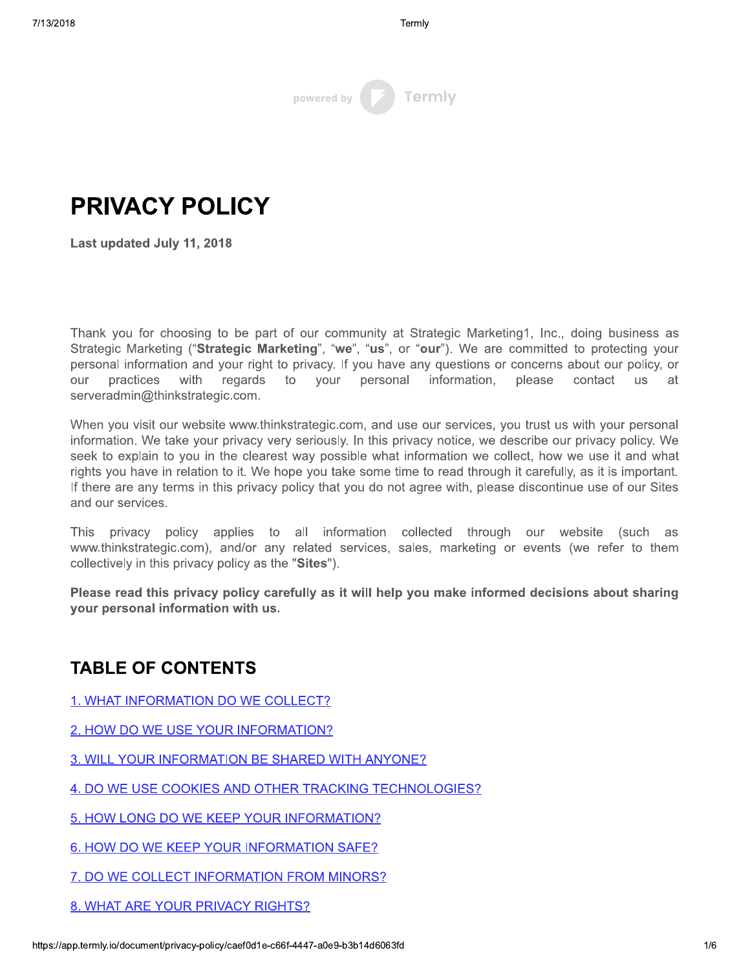| powered by | Termly |
|------------|--------|

Last updated July 11, 2018

Termly<br>
Termly<br>
PRIVACY POLICY<br>
Last updated July 11, 2018<br>
Last updated July 11, 2018<br>
Thank you for choosing to be part of our community at Strategic Marketing<br>
Strategic Marketing ("Strategic Marketing", "we", "us", or I hank you for choosing to be part of our community at Strategic Marketing1, Inc., doing business as Strategic Marketing ("Strategic Marketing", "We", "us", or "our"). We are committed to protecting your personal information and your right to privacy. If you have any questions or concerns about our policy, or our practices with reg regards as to your pers information. please contact us at serveradmin@tninkstrategic.com.

vvnen you visit our website www.tninkstrategic.com, and use our services, you trust us with your personal information. We take your privacy very seriously. In this privacy notice, we describe our privacy policy. We seek to explain to you in the clearest way possible what information we collect, how we use it and what rights you have in relation to it. We hope you take some time to read through it carefully, as it is important. It there are any terms in this privacy policy that you do not agree with, please discontinue use of our Sites and our services.

This privacy policy applies to all information collected through our website (such as www.thinkstrategic.com), and/or any related services, sales, marketing or events (we refer to them  $\,$ collectively in this privacy policy as the "Sites"). and our services.<br>
This privacy policy applies to all interventively in this privacy policy as the "Sites")<br>
Please read this privacy policy carefully as<br>
your personal information with us.<br>
TABLE OF CONTENTS<br>
1. WHAT INFO

Please read this privacy policy carefully as it will help you make informed decisions about sharing your personal information with us.

- 1. WHAT INFORMATION DO WE COLLECT?
- 2. HOW DO WE USE YOUR INFORMATION?
- 3. WILL YOUR INFORMATION BE SHARED WITH ANYONE?

4. DO WE USE COOKIES AND OTHER TRACKING TECHNOLOGIES?

- 5. HOW LONG DO WE KEEP YOUR INFORMATION?
- 6. HOW DO WE KEEP YOUR INFORMATION SAFE?
- 7. DO WE COLLECT INFORMATION FROM MINORS?
- 8. WHAT ARE YOUR PRIVACY RIGHTS?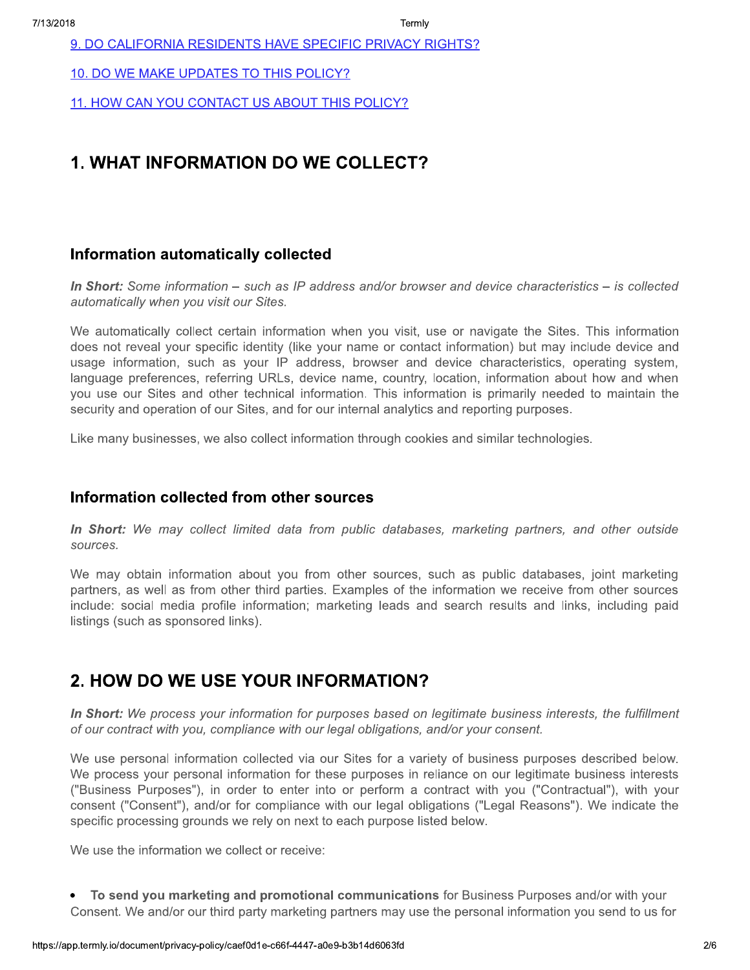9. DO CALIFORNIA RESIDENTS HAVE SPECIFIC PRIVACY RIGHTS?

10. DO WE MAKE UPDATES TO THIS POLICY?

11. HOW CAN YOU CONTACT US ABOUT THIS POLICY?

## **1. WHAT INFORMATION DO WE COLLECT?**

#### Information automatically collected

In Short: Some information – such as IP address and/or browser and device characteristics – is collected automatically when you visit our Sites.

We automatically collect certain information when you visit, use or navigate the Sites. This information does not reveal your specific identity (like your name or contact information) but may include device and usage information, such as your IP address, browser and device characteristics, operating system, language preferences, referring URLs, device name, country, location, information about how and when you use our Sites and other technical information. This information is primarily needed to maintain the security and operation of our Sites, and for our internal analytics and reporting purposes.

Like many businesses, we also collect information through cookies and similar technologies.

#### Information collected from other sources

In Short: We may collect limited data from public databases, marketing partners, and other outside sources.

We may obtain information about you from other sources, such as public databases, joint marketing partners, as well as from other third parties. Examples of the information we receive from other sources include: social media profile information; marketing leads and search results and links, including paid listings (such as sponsored links).

#### 2. HOW DO WE USE YOUR INFORMATION?

In Short: We process your information for purposes based on legitimate business interests, the fulfillment of our contract with you, compliance with our legal obligations, and/or your consent.

We use personal information collected via our Sites for a variety of business purposes described below. We process your personal information for these purposes in reliance on our legitimate business interests ("Business Purposes"), in order to enter into or perform a contract with you ("Contractual"), with your consent ("Consent"), and/or for compliance with our legal obligations ("Legal Reasons"). We indicate the specific processing grounds we rely on next to each purpose listed below.

We use the information we collect or receive:

• To send you marketing and promotional communications for Business Purposes and/or with your Consent. We and/or our third party marketing partners may use the personal information you send to us for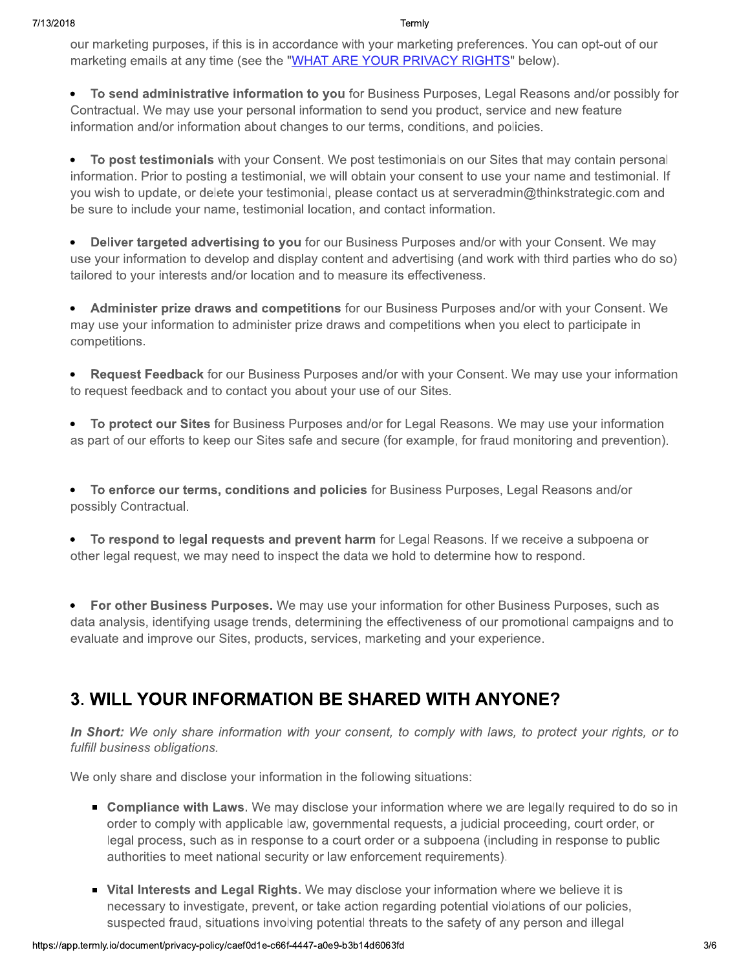our marketing purposes, if this is in accordance with your marketing preferences. You can opt-out of our marketing emails at any time (see the "WHAT ARE YOUR PRIVACY RIGHTS" below).

• To send administrative information to you for Business Purposes, Legal Reasons and/or possibly for Contractual. We may use your personal information to send you product, service and new feature information and/or information about changes to our terms, conditions, and policies.

To post testimonials with your Consent. We post testimonials on our Sites that may contain personal information. Prior to posting a testimonial, we will obtain your consent to use your name and testimonial. If you wish to update, or delete your testimonial, please contact us at serveradmin@thinkstrategic.com and be sure to include your name, testimonial location, and contact information.

Deliver targeted advertising to you for our Business Purposes and/or with your Consent. We may use your information to develop and display content and advertising (and work with third parties who do so) tailored to your interests and/or location and to measure its effectiveness.

• Administer prize draws and competitions for our Business Purposes and/or with your Consent. We may use your information to administer prize draws and competitions when you elect to participate in competitions.

**Request Feedback** for our Business Purposes and/or with your Consent. We may use your information  $\bullet$ to request feedback and to contact you about your use of our Sites.

To protect our Sites for Business Purposes and/or for Legal Reasons. We may use your information  $\bullet$ as part of our efforts to keep our Sites safe and secure (for example, for fraud monitoring and prevention).

• To enforce our terms, conditions and policies for Business Purposes, Legal Reasons and/or possibly Contractual.

• To respond to legal requests and prevent harm for Legal Reasons. If we receive a subpoena or other legal request, we may need to inspect the data we hold to determine how to respond.

For other Business Purposes. We may use your information for other Business Purposes, such as  $\bullet$ data analysis, identifying usage trends, determining the effectiveness of our promotional campaigns and to evaluate and improve our Sites, products, services, marketing and your experience.

# **3. WILL YOUR INFORMATION BE SHARED WITH ANYONE?**

In Short: We only share information with your consent, to comply with laws, to protect your rights, or to fulfill business obligations.

We only share and disclose your information in the following situations:

- Compliance with Laws. We may disclose your information where we are legally required to do so in order to comply with applicable law, governmental requests, a judicial proceeding, court order, or legal process, such as in response to a court order or a subpoena (including in response to public authorities to meet national security or law enforcement requirements).
- Vital Interests and Legal Rights. We may disclose your information where we believe it is necessary to investigate, prevent, or take action regarding potential violations of our policies, suspected fraud, situations involving potential threats to the safety of any person and illegal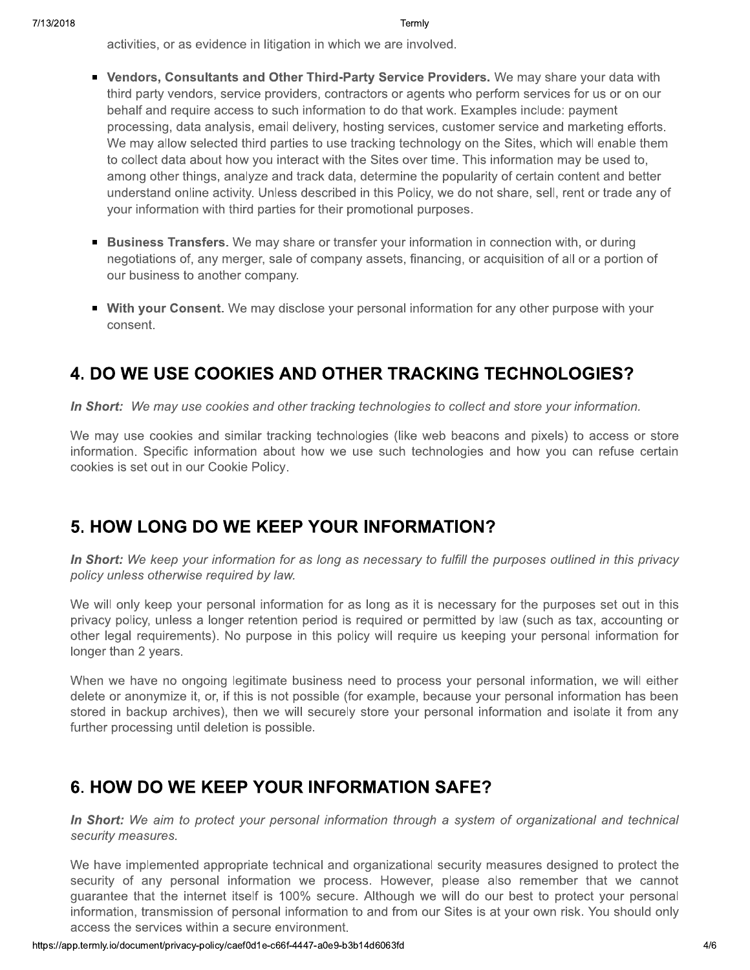activities, or as evidence in litigation in which we are involved.

- Vendors, Consultants and Other Third-Party Service Providers. We may share your data with third party vendors, service providers, contractors or agents who perform services for us or on our behalf and require access to such information to do that work. Examples include: payment processing, data analysis, email delivery, hosting services, customer service and marketing efforts. We may allow selected third parties to use tracking technology on the Sites, which will enable them to collect data about how you interact with the Sites over time. This information may be used to, among other things, analyze and track data, determine the popularity of certain content and better understand online activity. Unless described in this Policy, we do not share, sell, rent or trade any of your information with third parties for their promotional purposes.
- **Example 3 Business Transfers.** We may share or transfer your information in connection with, or during negotiations of, any merger, sale of company assets, financing, or acquisition of all or a portion of our business to another company.
- With your Consent. We may disclose your personal information for any other purpose with your consent.

# **4. DO WE USE COOKIES AND OTHER TRACKING TECHNOLOGIES?**

In Short: We may use cookies and other tracking technologies to collect and store your information.

We may use cookies and similar tracking technologies (like web beacons and pixels) to access or store information. Specific information about how we use such technologies and how you can refuse certain cookies is set out in our Cookie Policy.

#### 5. HOW LONG DO WE KEEP YOUR INFORMATION?

In Short: We keep your information for as long as necessary to fulfill the purposes outlined in this privacy policy unless otherwise required by law.

We will only keep your personal information for as long as it is necessary for the purposes set out in this privacy policy, unless a longer retention period is required or permitted by law (such as tax, accounting or other legal requirements). No purpose in this policy will require us keeping your personal information for longer than 2 years.

When we have no ongoing legitimate business need to process your personal information, we will either delete or anonymize it, or, if this is not possible (for example, because your personal information has been stored in backup archives), then we will securely store your personal information and isolate it from any further processing until deletion is possible.

## 6. HOW DO WE KEEP YOUR INFORMATION SAFE?

In Short: We aim to protect your personal information through a system of organizational and technical security measures.

We have implemented appropriate technical and organizational security measures designed to protect the security of any personal information we process. However, please also remember that we cannot guarantee that the internet itself is 100% secure. Although we will do our best to protect your personal information, transmission of personal information to and from our Sites is at your own risk. You should only access the services within a secure environment.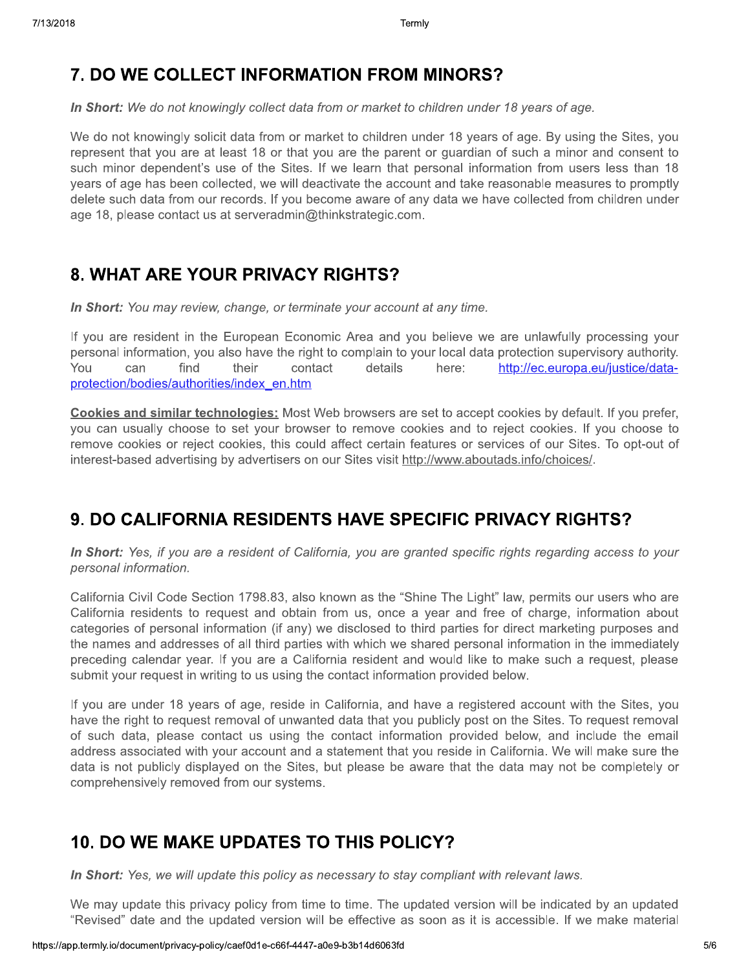## 7. DO WE COLLECT INFORMATION FROM MINORS?

In Short: We do not knowingly collect data from or market to children under 18 years of age.

We do not knowingly solicit data from or market to children under 18 years of age. By using the Sites, you represent that you are at least 18 or that you are the parent or guardian of such a minor and consent to such minor dependent's use of the Sites. If we learn that personal information from users less than 18 years of age has been collected, we will deactivate the account and take reasonable measures to promptly delete such data from our records. If you become aware of any data we have collected from children under age 18, please contact us at serveradmin@thinkstrategic.com.

## 8. WHAT ARE YOUR PRIVACY RIGHTS?

In Short: You may review, change, or terminate your account at any time.

If you are resident in the European Economic Area and you believe we are unlawfully processing your personal information, you also have the right to complain to your local data protection supervisory authority. You find their contact details here: http://ec.europa.eu/justice/datacan protection/bodies/authorities/index en.htm

Cookies and similar technologies: Most Web browsers are set to accept cookies by default. If you prefer, you can usually choose to set your browser to remove cookies and to reject cookies. If you choose to remove cookies or reject cookies, this could affect certain features or services of our Sites. To opt-out of interest-based advertising by advertisers on our Sites visit http://www.aboutads.info/choices/.

## 9. DO CALIFORNIA RESIDENTS HAVE SPECIFIC PRIVACY RIGHTS?

In Short: Yes, if you are a resident of California, you are granted specific rights regarding access to your personal information.

California Civil Code Section 1798.83, also known as the "Shine The Light" law, permits our users who are California residents to request and obtain from us, once a year and free of charge, information about categories of personal information (if any) we disclosed to third parties for direct marketing purposes and the names and addresses of all third parties with which we shared personal information in the immediately preceding calendar year. If you are a California resident and would like to make such a request, please submit your request in writing to us using the contact information provided below.

If you are under 18 years of age, reside in California, and have a registered account with the Sites, you have the right to request removal of unwanted data that you publicly post on the Sites. To request removal of such data, please contact us using the contact information provided below, and include the email address associated with your account and a statement that you reside in California. We will make sure the data is not publicly displayed on the Sites, but please be aware that the data may not be completely or comprehensively removed from our systems.

## **10. DO WE MAKE UPDATES TO THIS POLICY?**

In Short: Yes, we will update this policy as necessary to stay compliant with relevant laws.

We may update this privacy policy from time to time. The updated version will be indicated by an updated "Revised" date and the updated version will be effective as soon as it is accessible. If we make material